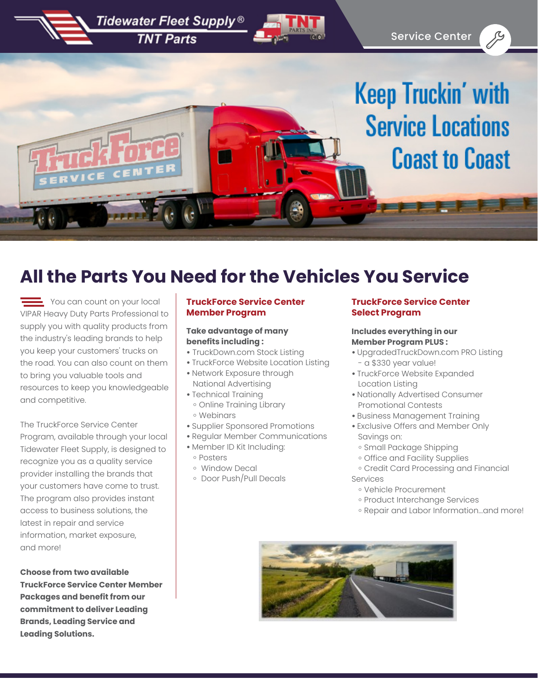

## **All the Parts You Need for the Vehicles You Service**

 $\equiv$  You can count on your local VIPAR Heavy Duty Parts Professional to supply you with quality products from the industry's leading brands to help you keep your customers' trucks on the road. You can also count on them to bring you valuable tools and resources to keep you knowledgeable and competitive.

The TruckForce Service Center Program, available through your local Tidewater Fleet Supply, is designed to recognize you as a quality service provider installing the brands that your customers have come to trust. The program also provides instant access to business solutions, the latest in repair and service information, market exposure, and more!

**Choose from two available TruckForce Service Center Member Packages and benefit from our commitment to deliver Leading Brands, Leading Service and Leading Solutions.**

#### **TruckForce Service Center Member Program**

#### **Take advantage of many benefits including :**

- **•** TruckDown.com Stock Listing
- TruckForce Website Location Listing
- Network Exposure through National Advertising
- Technical Training
- ॰ Online Training Library
- ॰ Webinars
- Supplier Sponsored Promotions
- Regular Member Communications
- Member ID Kit Including: ॰ Posters
	- ॰ Window Decal
- ॰ Door Push/Pull Decals

#### **TruckForce Service Center Select Program**

#### **Includes everything in our Member Program PLUS :**

- UpgradedTruckDown.com PRO Listing - a \$330 year value!
- TruckForce Website Expanded Location Listing
- Nationally Advertised Consumer Promotional Contests
- Business Management Training
- Exclusive Offers and Member Only Savings on:
	- ॰ Small Package Shipping
	- ॰ Office and Facility Supplies
- ॰ Credit Card Processing and Financial Services
	- ॰ Vehicle Procurement
	- ॰ Product Interchange Services
	- ॰ Repair and Labor Information...and more!